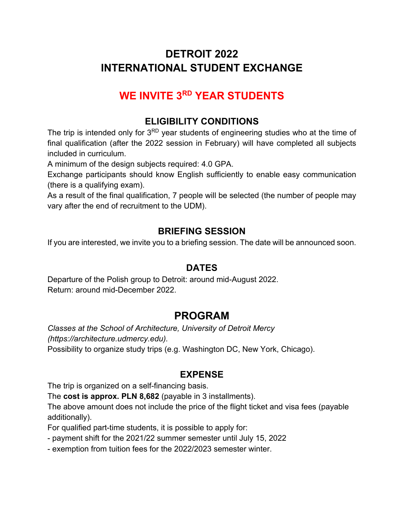# **DETROIT 2022 INTERNATIONAL STUDENT EXCHANGE**

# **WE INVITE 3RD YEAR STUDENTS**

## **ELIGIBILITY CONDITIONS**

The trip is intended only for 3<sup>RD</sup> year students of engineering studies who at the time of final qualification (after the 2022 session in February) will have completed all subjects included in curriculum.

A minimum of the design subjects required: 4.0 GPA.

Exchange participants should know English sufficiently to enable easy communication (there is a qualifying exam).

As a result of the final qualification, 7 people will be selected (the number of people may vary after the end of recruitment to the UDM).

### **BRIEFING SESSION**

If you are interested, we invite you to a briefing session. The date will be announced soon.

#### **DATES**

Departure of the Polish group to Detroit: around mid-August 2022. Return: around mid-December 2022.

# **PROGRAM**

*Classes at the School of Architecture, University of Detroit Mercy (https://architecture.udmercy.edu).* Possibility to organize study trips (e.g. Washington DC, New York, Chicago).

### **EXPENSE**

The trip is organized on a self-financing basis.

The **cost is approx. PLN 8,682** (payable in 3 installments).

The above amount does not include the price of the flight ticket and visa fees (payable additionally).

For qualified part-time students, it is possible to apply for:

- payment shift for the 2021/22 summer semester until July 15, 2022
- exemption from tuition fees for the 2022/2023 semester winter.